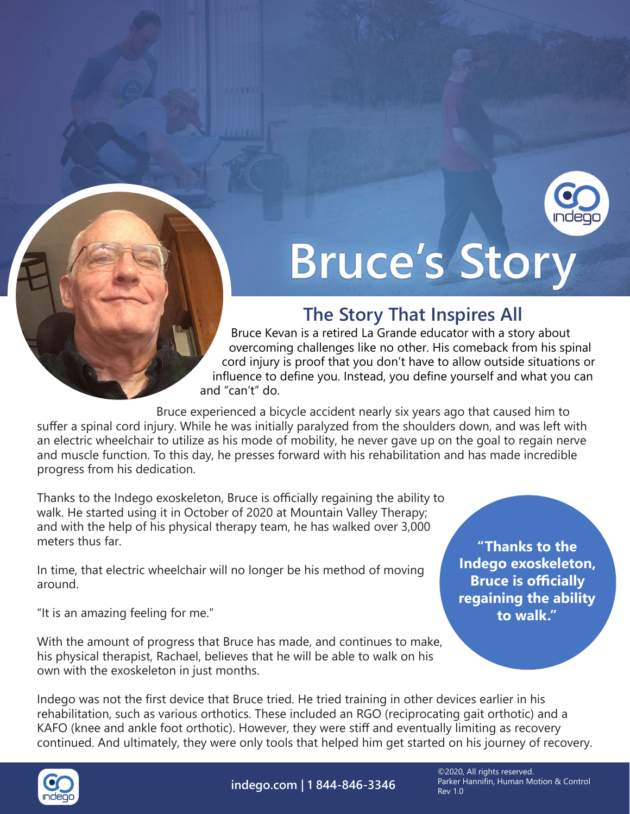

## **Bruce's Story**

## **The Story That Inspires All**

Bruce Kevan is a retired La Grande educator with a story about overcoming challenges like no other. His comeback from his spinal cord injury is proof that you don't have to allow outside situations or influence to define you. Instead, you define yourself and what you can and "can't" do.

Bruce experienced a bicycle accident nearly six years ago that caused him to suffer a spinal cord injury. While he was initially paralyzed from the shoulders down, and was left with an electric wheelchair to utilize as his mode of mobility, he never gave up on the goal to regain nerve and muscle function. To this day, he presses forward with his rehabilitation and has made incredible progress from his dedication.

Thanks to the Indego exoskeleton, Bruce is officially regaining the ability to walk. He started using it in October of 2020 at Mountain Valley Therapy; and with the help of his physical therapy team, he has walked over 3,000 meters thus far.

In time, that electric wheelchair will no longer be his method of moving around.

"It is an amazing feeling for me."

With the amount of progress that Bruce has made, and continues to make, his physical therapist, Rachael, believes that he will be able to walk on his own with the exoskeleton in just months.

**"Thanks to the Indego exoskeleton, Bruce is officially regaining the ability to walk."**

Indego was not the first device that Bruce tried. He tried training in other devices earlier in his rehabilitation, such as various orthotics. These included an RGO (reciprocating gait orthotic) and a KAFO (knee and ankle foot orthotic). However, they were stiff and eventually limiting as recovery continued. And ultimately, they were only tools that helped him get started on his journey of recovery.



**indego.com | 1 844-846-3346**